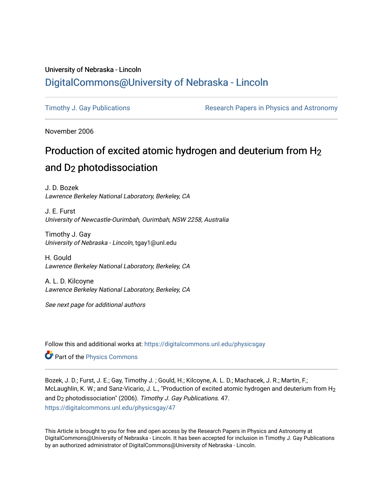### University of Nebraska - Lincoln [DigitalCommons@University of Nebraska - Lincoln](https://digitalcommons.unl.edu/)

[Timothy J. Gay Publications](https://digitalcommons.unl.edu/physicsgay) **Research Papers in Physics and Astronomy** 

November 2006

# Production of excited atomic hydrogen and deuterium from  $H_2$ and D2 photodissociation

J. D. Bozek Lawrence Berkeley National Laboratory, Berkeley, CA

J. E. Furst University of Newcastle-Ourimbah, Ourimbah, NSW 2258, Australia

Timothy J. Gay University of Nebraska - Lincoln, tgay1@unl.edu

H. Gould Lawrence Berkeley National Laboratory, Berkeley, CA

A. L. D. Kilcoyne Lawrence Berkeley National Laboratory, Berkeley, CA

See next page for additional authors

Follow this and additional works at: [https://digitalcommons.unl.edu/physicsgay](https://digitalcommons.unl.edu/physicsgay?utm_source=digitalcommons.unl.edu%2Fphysicsgay%2F47&utm_medium=PDF&utm_campaign=PDFCoverPages)

Part of the [Physics Commons](http://network.bepress.com/hgg/discipline/193?utm_source=digitalcommons.unl.edu%2Fphysicsgay%2F47&utm_medium=PDF&utm_campaign=PDFCoverPages)

Bozek, J. D.; Furst, J. E.; Gay, Timothy J. ; Gould, H.; Kilcoyne, A. L. D.; Machacek, J. R.; Martin, F.; McLaughlin, K. W.; and Sanz-Vicario, J. L., "Production of excited atomic hydrogen and deuterium from H<sub>2</sub> and D2 photodissociation" (2006). Timothy J. Gay Publications. 47. [https://digitalcommons.unl.edu/physicsgay/47](https://digitalcommons.unl.edu/physicsgay/47?utm_source=digitalcommons.unl.edu%2Fphysicsgay%2F47&utm_medium=PDF&utm_campaign=PDFCoverPages) 

This Article is brought to you for free and open access by the Research Papers in Physics and Astronomy at DigitalCommons@University of Nebraska - Lincoln. It has been accepted for inclusion in Timothy J. Gay Publications by an authorized administrator of DigitalCommons@University of Nebraska - Lincoln.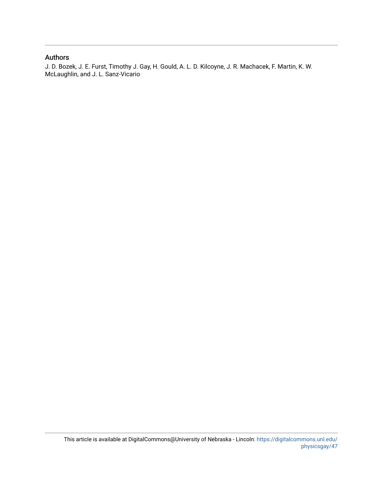#### Authors

J. D. Bozek, J. E. Furst, Timothy J. Gay, H. Gould, A. L. D. Kilcoyne, J. R. Machacek, F. Martin, K. W. McLaughlin, and J. L. Sanz-Vicario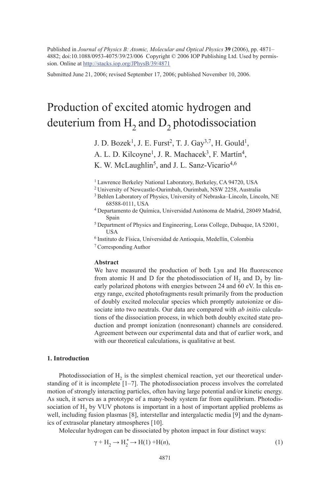Published in *Journal of Physics B: Atomic, Molecular and Optical Physics* **39** (2006), pp. 4871– 4882; doi:10.1088/0953-4075/39/23/006 Copyright © 2006 IOP Publishing Ltd. Used by permission. Online at http://stacks.iop.org/JPhysB/39/4871

Submitted June 21, 2006; revised September 17, 2006; published November 10, 2006.

## Production of excited atomic hydrogen and deuterium from  $H_2$  and  $D_2$  photodissociation

J. D. Bozek<sup>1</sup>, J. E. Furst<sup>2</sup>, T. J. Gay<sup>3,7</sup>, H. Gould<sup>1</sup>, A. L. D. Kilcoyne<sup>1</sup>, J. R. Machacek<sup>3</sup>, F. Martín<sup>4</sup>, K. W. McLaughlin<sup>5</sup>, and J. L. Sanz-Vicario<sup>4,6</sup>

- 68588-0111, USA 4 Departamento de Química, Universidad Autónoma de Madrid, 28049 Madrid, Spain 5 Department of Physics and Engineering, Loras College, Dubuque, IA 52001,
- USA 6 Instituto de Física, Universidad de Antioquia, Medellín, Colombia
- 

#### **Abstract**

We have measured the production of both  $Ly\alpha$  and  $H\alpha$  fluorescence from atomic H and D for the photodissociation of  $H_2$  and  $D_2$  by linearly polarized photons with energies between 24 and 60 eV. In this energy range, excited photofragments result primarily from the production of doubly excited molecular species which promptly autoionize or dissociate into two neutrals. Our data are compared with *ab initio* calculations of the dissociation process, in which both doubly excited state production and prompt ionization (nonresonant) channels are considered. Agreement between our experimental data and that of earlier work, and with our theoretical calculations, is qualitative at best.

#### **1. Introduction**

Photodissociation of  $H<sub>2</sub>$  is the simplest chemical reaction, yet our theoretical understanding of it is incomplete [1–7]. The photodissociation process involves the correlated motion of strongly interacting particles, often having large potential and*/*or kinetic energy. As such, it serves as a prototype of a many-body system far from equilibrium. Photodissociation of  $H<sub>2</sub>$  by VUV photons is important in a host of important applied problems as well, including fusion plasmas [8], interstellar and intergalactic media [9] and the dynamics of extrasolar planetary atmospheres [10].

Molecular hydrogen can be dissociated by photon impact in four distinct ways:

$$
\gamma + H_2 \to H_2^* \to H(1) + H(n),\tag{1}
$$

<sup>&</sup>lt;sup>1</sup> Lawrence Berkeley National Laboratory, Berkeley, CA 94720, USA

<sup>2</sup> University of Newcastle-Ourimbah, Ourimbah, NSW 2258, Australia

<sup>3</sup> Behlen Laboratory of Physics, University of Nebraska–Lincoln, Lincoln, NE

<sup>7</sup> Corresponding Author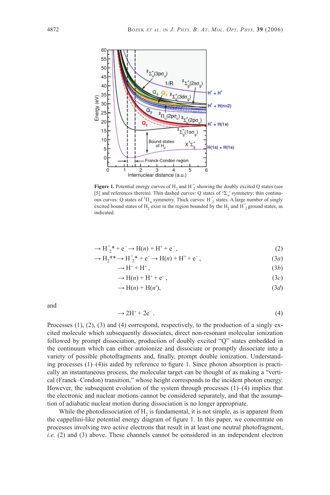

**Figure 1.** Potential energy curves of  $H_2$  and  $H_2^+$  showing the doubly excited Q states (see [5] and references therein). Thin dashed curves: Q states of  ${}^{1}\Sigma_{u}^{+}$  symmetry; thin continuous curves: Q states of  ${}^{1}$ H<sub>u</sub> symmetry. Thick curves: H<sub>2</sub><sup>+</sup> states. A large number of singly excited bound states of  $H_2$  exist in the region bounded by the  $H_2$  and  $H_2$  ground states, as indicated.

$$
\rightarrow H_{2}^{+} * + e^{-} \rightarrow H(n) + H^{+} + e^{-}, \qquad (2)
$$

$$
\to H_2^{**} \to H_2^* + e^- \to H(n) + H^+ + e^-, \tag{3a}
$$

$$
\rightarrow H^{-} + H^{+}, \tag{3b}
$$

$$
\rightarrow H(n) + H^+ + e^-, \tag{3c}
$$

$$
\rightarrow H(n) + H(n'),\tag{3d}
$$

and

$$
\rightarrow 2H^+ + 2e^- \tag{4}
$$

Processes  $(1)$ ,  $(2)$ ,  $(3)$  and  $(4)$  correspond, respectively, to the production of a singly excited molecule which subsequently dissociates, direct non-resonant molecular ionization followed by prompt dissociation, production of doubly excited "Q" states embedded in the continuum which can either autoionize and dissociate or promptly dissociate into a variety of possible photofragments and, finally, prompt double ionization. Understanding processes  $(1)$ – $(4)$  is aided by reference to figure 1. Since photon absorption is practically an instantaneous process, the molecular target can be thought of as making a "vertical (Franck–Condon) transition," whose height corresponds to the incident photon energy. However, the subsequent evolution of the system through processes (1)–(4) implies that the electronic and nuclear motions cannot be considered separately, and that the assumption of adiabatic nuclear motion during dissociation is no longer appropriate.

While the photodissociation of  $H<sub>2</sub>$  is fundamental, it is not simple, as is apparent from the cappellini-like potential energy diagram of figure 1. In this paper, we concentrate on processes involving two active electrons that result in at least one neutral photofragment, *i.e.* (2) and (3) above. These channels cannot be considered in an independent electron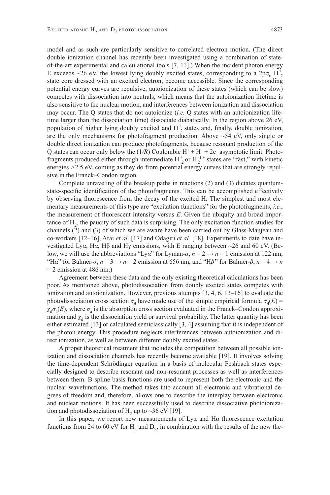model and as such are particularly sensitive to correlated electron motion. (The direct double ionization channel has recently been investigated using a combination of stateof-the-art experimental and calculational tools [7, 11].) When the incident photon energy E exceeds  $\sim$ 26 eV, the lowest lying doubly excited states, corresponding to a 2p $\sigma_u$  H<sup>+</sup><sub>2</sub> state core dressed with an excited electron, become accessible. Since the corresponding potential energy curves are repulsive, autoionization of these states (which can be slow) competes with dissociation into neutrals, which means that the autoionization lifetime is also sensitive to the nuclear motion, and interferences between ionization and dissociation may occur. The Q states that do not autoionize (*i.e.* Q states with an autoionization lifetime larger than the dissociation time) dissociate diabatically. In the region above 26 eV, population of higher lying doubly excited and  $H_2^+$  states and, finally, double ionization, are the only mechanisms for photofragment production. Above  $\sim$  54 eV, only single or double direct ionization can produce photofragments, because resonant production of the Q states can occur only below the (1/R) Coulombic H<sup>+</sup> + H<sup>+</sup> + 2e<sup>−</sup> asymptotic limit. Photofragments produced either through intermediate  $H_2^+$  or  $H_2^{**}$  states are "fast," with kinetic energies *>*2.5 eV, coming as they do from potential energy curves that are strongly repulsive in the Franck–Condon region.

Complete unraveling of the breakup paths in reactions (2) and (3) dictates quantumstate-specific identification of the photofragments. This can be accomplished effectively by observing fluorescence from the decay of the excited H. The simplest and most elementary measurements of this type are "excitation functions" for the photofragments, *i.e.*, the measurement of fluorescent intensity versus  $E$ . Given the ubiquity and broad importance of  $H<sub>2</sub>$ , the paucity of such data is surprising. The only excitation function studies for channels (2) and (3) of which we are aware have been carried out by Glass-Maujean and co-workers [12–16], Arai *et al.* [17] and Odagiri *et al.* [18]. Experiments to date have investigated Ly*α*, H*α*, Hβ and Hγ emissions, with E ranging between ~26 and 60 eV. (Below, we will use the abbreviations "Ly*α*" for Lyman-*α*, *n* = 2 → *n* = 1 emission at 122 nm, "Ha" for Balmer- $\alpha$ ,  $n = 3 \rightarrow n = 2$  emission at 656 nm, and "H $\beta$ " for Balmer- $\beta$ ,  $n = 4 \rightarrow n$  $= 2$  emission at 486 nm.)

Agreement between these data and the only existing theoretical calculations has been poor. As mentioned above, photodissociation from doubly excited states competes with ionization and autoionization. However, previous attempts [3, 4, 6, 13–16] to evaluate the photodissociation cross section  $\sigma_d$  have made use of the simple empirical formula  $\sigma_d(E)$  =  $\chi_d \sigma_a(E)$ , where  $\sigma_a$  is the absorption cross section evaluated in the Franck–Condon approximation and  $\chi_d$  is the dissociation yield or survival probability. The latter quantity has been either estimated [13] or calculated semiclassically [3, 4] assuming that it is independent of the photon energy. This procedure neglects interferences between autoionization and direct ionization, as well as between different doubly excited states.

A proper theoretical treatment that includes the competition between all possible ionization and dissociation channels has recently become available [19]. It involves solving the time-dependent Schrödinger equation in a basis of molecular Feshbach states especially designed to describe resonant and non-resonant processes as well as interferences between them. B-spline basis functions are used to represent both the electronic and the nuclear wavefunctions. The method takes into account all electronic and vibrational degrees of freedom and, therefore, allows one to describe the interplay between electronic and nuclear motions. It has been successfully used to describe dissociative photoionization and photodissociation of H<sub>2</sub> up to ~36 eV [19].

In this paper, we report new measurements of  $Ly\alpha$  and  $H\alpha$  fluorescence excitation functions from 24 to 60 eV for H<sub>2</sub> and D<sub>2</sub>, in combination with the results of the new the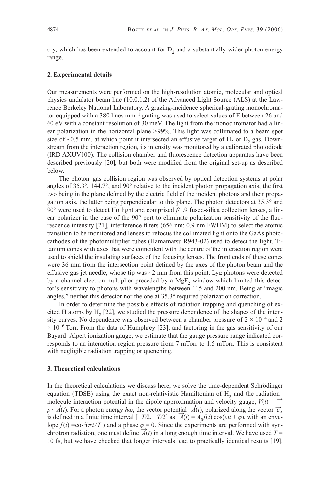ory, which has been extended to account for  $D<sub>2</sub>$  and a substantially wider photon energy range.

#### **2. Experimental details**

Our measurements were performed on the high-resolution atomic, molecular and optical physics undulator beam line (10.0.1.2) of the Advanced Light Source (ALS) at the Lawrence Berkeley National Laboratory. A grazing-incidence spherical-grating monochromator equipped with a 380 lines mm<sup>−</sup>1 grating was used to select values of E between 26 and 60 eV with a constant resolution of 30 meV. The light from the monochromator had a linear polarization in the horizontal plane *>*99%. This light was collimated to a beam spot size of  $\sim$ 0.5 mm, at which point it intersected an effusive target of H<sub>2</sub> or D<sub>2</sub> gas. Downstream from the interaction region, its intensity was monitored by a calibrated photodiode  $(IRD A XUV100)$ . The collision chamber and fluorescence detection apparatus have been described previously [20], but both were modified from the original set-up as described below.

The photon–gas collision region was observed by optical detection systems at polar angles of  $35.3^{\circ}$ ,  $144.7^{\circ}$ , and  $90^{\circ}$  relative to the incident photon propagation axis, the first two being in the plane defined by the electric field of the incident photons and their propagation axis, the latter being perpendicular to this plane. The photon detectors at 35.3° and 90° were used to detect Hα light and comprised *f/*1.9 fused-silica collection lenses, a linear polarizer in the case of the  $90^{\circ}$  port to eliminate polarization sensitivity of the fluorescence intensity [21], interference filters (656 nm; 0.9 nm FWHM) to select the atomic transition to be monitored and lenses to refocus the collimated light onto the GaAs photocathodes of the photomultiplier tubes (Hamamatsu R943-02) used to detect the light. Titanium cones with axes that were coincident with the centre of the interaction region were used to shield the insulating surfaces of the focusing lenses. The front ends of these cones were 36 mm from the intersection point defined by the axes of the photon beam and the effusive gas jet needle, whose tip was  $\sim$ 2 mm from this point. Lya photons were detected by a channel electron multiplier preceded by a  $MgF<sub>2</sub>$  window which limited this detector's sensitivity to photons with wavelengths between 115 and 200 nm. Being at "magic angles," neither this detector nor the one at 35.3° required polarization correction.

In order to determine the possible effects of radiation trapping and quenching of excited H atoms by  $H<sub>2</sub>$  [22], we studied the pressure dependence of the shapes of the intensity curves. No dependence was observed between a chamber pressure of  $2 \times 10^{-4}$  and 2  $\times$  10<sup>-6</sup> Torr. From the data of Humphrey [23], and factoring in the gas sensitivity of our Bayard–Alpert ionization gauge, we estimate that the gauge pressure range indicated corresponds to an interaction region pressure from 7 mTorr to 1.5 mTorr. This is consistent with negligible radiation trapping or quenching.

#### **3. Theoretical calculations**

In the theoretical calculations we discuss here, we solve the time-dependent Schrödinger equation (TDSE) using the exact non-relativistic Hamiltonian of  $H<sub>2</sub>$  and the radiation– molecule interaction potential in the dipole approximation and velocity gauge,  $V(t) = \rightarrow$ *p* ·  $\overrightarrow{A}(t)$ . For a photon energy *ħω*, the vector potential  $\overrightarrow{A}(t)$ , polarized along the vector  $\overrightarrow{e_z}$ , is defined in a finite time interval  $[-T/2, +T/2]$  as  $\overline{A}(t) = A_0 f(t) \cos(\omega t + \varphi)$ , with an envelope  $f(t) = \cos^2(\pi t/T)$  and a phase  $\varphi = 0$ . Since the experiments are performed with synchrotron radiation, one must define  $A(t)$  in a long enough time interval. We have used  $T =$ 10 fs, but we have checked that longer intervals lead to practically identical results [19].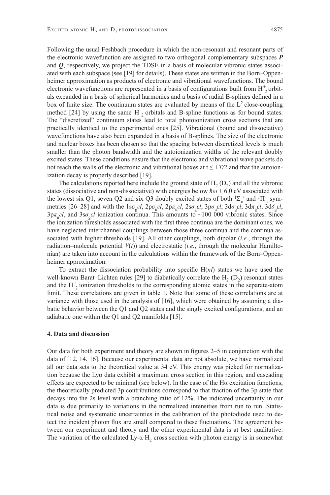Following the usual Feshbach procedure in which the non-resonant and resonant parts of the electronic wavefunction are assigned to two orthogonal complementary subspaces *P* and *Q*, respectively, we project the TDSE in a basis of molecular vibronic states associated with each subspace (see [19] for details). These states are written in the Born–Oppenheimer approximation as products of electronic and vibrational wavefunctions. The bound electronic wavefunctions are represented in a basis of configurations built from  $H_2^+$  orbitals expanded in a basis of spherical harmonics and a basis of radial B-splines defined in a box of finite size. The continuum states are evaluated by means of the  $L^2$  close-coupling method [24] by using the same  $H_2^+$  orbitals and B-spline functions as for bound states. The "discretized" continuum states lead to total photoionization cross sections that are practically identical to the experimental ones [25]. Vibrational (bound and dissociative) wavefunctions have also been expanded in a basis of B-splines. The size of the electronic and nuclear boxes has been chosen so that the spacing between discretized levels is much smaller than the photon bandwidth and the autoionization widths of the relevant doubly excited states. These conditions ensure that the electronic and vibrational wave packets do not reach the walls of the electronic and vibrational boxes at  $t \leq +T/2$  and that the autoionization decay is properly described [19].

The calculations reported here include the ground state of  $H_2$  (D<sub>2</sub>) and all the vibronic states (dissociative and non-dissociative) with energies below *ħω* + 6.0 eV associated with the lowest six Q1, seven Q2 and six Q3 doubly excited states of both  ${}^{1}\Sigma_{u}^{+}$  and  ${}^{1}\Pi_{u}$  symmetries [26–28] and with the  $1s\sigma_g \varepsilon l$ ,  $2p\sigma_u \varepsilon l$ ,  $2p\pi_u \varepsilon l$ ,  $2s\sigma_g \varepsilon l$ ,  $3p\sigma_u \varepsilon l$ ,  $3d\sigma_g \varepsilon l$ ,  $3d\delta_g \varepsilon l$ ,  $3d\delta_g \varepsilon l$ , 3p*π*u*εl*, and 3s*σ*<sup>g</sup> *εl* ionization continua. This amounts to ~100 000 vibronic states. Since the ionization thresholds associated with the first three continua are the dominant ones, we have neglected interchannel couplings between those three continua and the continua associated with higher thresholds [19]. All other couplings, both dipolar (*i.e.*, through the radiation–molecule potential  $V(t)$ ) and electrostatic (*i.e.*, through the molecular Hamiltonian) are taken into account in the calculations within the framework of the Born–Oppenheimer approximation.

To extract the dissociation probability into specific  $H(nl)$  states we have used the well-known Barat–Lichten rules [29] to diabatically correlate the  $H_2$  (D<sub>2</sub>) resonant states and the  $H_2^+$  ionization thresholds to the corresponding atomic states in the separate-atom limit. These correlations are given in table 1. Note that some of these correlations are at variance with those used in the analysis of [16], which were obtained by assuming a diabatic behavior between the Q1 and Q2 states and the singly excited configurations, and an adiabatic one within the Q1 and Q2 manifolds [15].

#### **4. Data and discussion**

Our data for both experiment and theory are shown in figures  $2-5$  in conjunction with the data of [12, 14, 16]. Because our experimental data are not absolute, we have normalized all our data sets to the theoretical value at 34 eV. This energy was picked for normalization because the Lyα data exhibit a maximum cross section in this region, and cascading effects are expected to be minimal (see below). In the case of the  $Ha$  excitation functions, the theoretically predicted 3p contributions correspond to that fraction of the 3p state that decays into the 2s level with a branching ratio of 12%. The indicated uncertainty in our data is due primarily to variations in the normalized intensities from run to run. Statistical noise and systematic uncertainties in the calibration of the photodiode used to detect the incident photon flux are small compared to these fluctuations. The agreement between our experiment and theory and the other experimental data is at best qualitative. The variation of the calculated Ly- $\alpha$  H<sub>2</sub> cross section with photon energy is in somewhat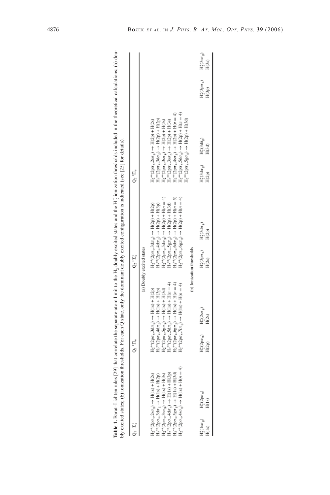|                                                                                                                              |                                                                                                                                                                                                                                                                                                                                                                                                                 | $Q_2^{-1} \Sigma_1^+$                                            | $Q_2$ ' $\Pi_u$                                                                                                                                                    |                |                              |
|------------------------------------------------------------------------------------------------------------------------------|-----------------------------------------------------------------------------------------------------------------------------------------------------------------------------------------------------------------------------------------------------------------------------------------------------------------------------------------------------------------------------------------------------------------|------------------------------------------------------------------|--------------------------------------------------------------------------------------------------------------------------------------------------------------------|----------------|------------------------------|
|                                                                                                                              |                                                                                                                                                                                                                                                                                                                                                                                                                 | (a) Doubly excited states                                        |                                                                                                                                                                    |                |                              |
| $H_2^{**}(2p\sigma_0, 2s\sigma_8) \rightarrow H(1s) + H(2s)$                                                                 |                                                                                                                                                                                                                                                                                                                                                                                                                 | $H_2^{**}(2px_0,3dx_0) \rightarrow H(2p) + H(2p)$                | $H_2^{**}(2p\pi_0, 2s\sigma_2) \rightarrow H(2p) + H(2s)$                                                                                                          |                |                              |
| $I_2^{\bullet\ast}(2p\sigma_u,3d\sigma_g\to H(1s)+H(2p)$                                                                     |                                                                                                                                                                                                                                                                                                                                                                                                                 | $H_2^{**}(2px_w4d\pi_g) \rightarrow H(2p) + H(3p)$               | $H_2^{**}(2px_{u.}3d\sigma_{\varrho}) \to H(2p) + H(2p)$                                                                                                           |                |                              |
| $H_2^{**}(2p\sigma_u, 3s\sigma_g) \rightarrow H(1s) + H(3s)$<br>$H_2^{**}(2p\sigma_u, 4d\sigma_g) \rightarrow H(1s) + H(3p)$ |                                                                                                                                                                                                                                                                                                                                                                                                                 | $H_2^{**}(2p\pi_0,5d\pi_2) \to H(2p) + H(n = 4)$                 | $H_2^{\ast\ast}(2p\pi_0 3s\sigma_2) \rightarrow H(2p) + H(3s)$                                                                                                     |                |                              |
|                                                                                                                              |                                                                                                                                                                                                                                                                                                                                                                                                                 | $H_2^{\bullet*}(2p\pi_u,5g\pi_g)\rightarrow H(2p)+H(3d)$         | $H_2^{**}(2px_1.3s\sigma_g) \to H(2p) + H(3s)$                                                                                                                     |                |                              |
| $I_2^{**}(2p\sigma_0, 5g\sigma_0) \to H(1s) + H(3d)$                                                                         |                                                                                                                                                                                                                                                                                                                                                                                                                 | $H_2^{s*}(2px_0.6dx_0) \rightarrow H(2p) + H(n=5)$               | $H_2^{**}(2p\pi_{u}4s\sigma_{g}) \to H(2p) + H(n = 4)$                                                                                                             |                |                              |
| $I_2^*(2p\sigma_u 4s\sigma_g) \to H(1s) + H(n = 4)$                                                                          | $\begin{array}{l} \rm H_2^{4m}(2pc_{15}3dr_{2}) \rightarrow \rm H(1s) + \rm H(2p) \\ \rm H_2^{4m}(2pc_{15}4dr_{2}) \rightarrow \rm H(1s) + \rm H(3p) \\ \rm H_2^{4m}(2pc_{15}5gr_{2}) \rightarrow \rm H(1s) + \rm H(3d) \\ \rm H_2^{4m}(2pc_{15}6gr_{2}) \rightarrow \rm H(1s) + \rm H(r=4) \\ \rm H_2^{4m}(2pc_{15}6gr_{2}) \rightarrow \rm H(1s) + \rm H(r=4) \\ \rm H_2^{4m}(2pc_{15}7gr_{2}) \rightarrow \$ | $H_2^{(2p\pi}L_0^{(2p\pi)} \to H_0^{(2p\pi)}$                    | $H_2^*(2px_0.5dp) \rightarrow H(2p) + H(n = 4)$                                                                                                                    |                |                              |
|                                                                                                                              |                                                                                                                                                                                                                                                                                                                                                                                                                 |                                                                  | $H_2^*(2p\pi_0.5g\sigma_g) \to H(2p) + H(3d)$                                                                                                                      |                |                              |
|                                                                                                                              |                                                                                                                                                                                                                                                                                                                                                                                                                 | (b) Ionization thresholds                                        |                                                                                                                                                                    |                |                              |
| $\begin{array}{cc} \mathcal{L}_2^*(\text{Is}\sigma_g) & \qquad H_2^+(2p\sigma_u) \\ & \qquad \qquad H(1s) \end{array}$       | $H_2^*(2s\sigma_g)$<br>$H(2s)$<br>Н‡(2рπ <sub>ч</sub> )<br>Н(2р)                                                                                                                                                                                                                                                                                                                                                | $H_2^*(3d\sigma_g)$<br>$H(2p)$<br>$H_2^*(3p\sigma_u)$<br>$H(2s)$ | $\begin{array}{c}\n\text{H}_2^*(3\text{d}\delta_{\bar{g}}) \\ \text{H}(3\text{d})\n\end{array}$<br>$\text{H}_{2}^{*}(3 \text{d} \pi_{g})$<br>$\text{H}(2\text{p})$ | $H_2^*(3px_u)$ | $H_2^*(3s\sigma_g)$<br>H(3s) |
|                                                                                                                              |                                                                                                                                                                                                                                                                                                                                                                                                                 |                                                                  |                                                                                                                                                                    | H(3p)          |                              |

Table 1. Barat-Lichten rules [29] that correlate the separate-atom limit to the H<sub>2</sub> doubly excited states and the H<sub>2</sub> ionization thresholds included in the theoretical calculations; (a) dou-<br>bly excited states: (b) ioni **Table 1.** Barat–Lichten rules [29] that correlate the separate-atom limit to the H<sub>2</sub> doubly excited states and the H<sub>2</sub> ionization thresholds included in the theoretical calculations; (a) dou-<br>bly excited states; (b) io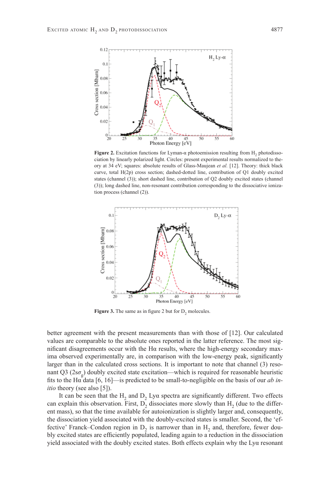

**Figure 2.** Excitation functions for Lyman-α photoemission resulting from H<sub>2</sub> photodissociation by linearly polarized light. Circles: present experimental results normalized to theory at 34 eV; squares: absolute results of Glass-Maujean *et al.* [12]. Theory: thick black curve, total H(2p) cross section; dashed-dotted line, contribution of Q1 doubly excited states (channel (3)); short dashed line, contribution of Q2 doubly excited states (channel (3)); long dashed line, non-resonant contribution corresponding to the dissociative ionization process (channel (2)).



**Figure 3.** The same as in figure 2 but for D<sub>2</sub> molecules.

better agreement with the present measurements than with those of [12]. Our calculated values are comparable to the absolute ones reported in the latter reference. The most significant disagreements occur with the H $\alpha$  results, where the high-energy secondary maxima observed experimentally are, in comparison with the low-energy peak, significantly larger than in the calculated cross sections. It is important to note that channel (3) resonant Q3 ( $2s\sigma$ <sub>o</sub>) doubly excited state excitation—which is required for reasonable heuristic fits to the H $\alpha$  data [6, 16]—is predicted to be small-to-negligible on the basis of our *ab initio* theory (see also [5]).

It can be seen that the  $H_2$  and  $D_2$  Lya spectra are significantly different. Two effects can explain this observation. First,  $D<sub>2</sub>$  dissociates more slowly than  $H<sub>2</sub>$  (due to the different mass), so that the time available for autoionization is slightly larger and, consequently, the dissociation yield associated with the doubly-excited states is smaller. Second, the 'effective' Franck–Condon region in  $D<sub>2</sub>$  is narrower than in  $H<sub>2</sub>$  and, therefore, fewer doubly excited states are efficiently populated, leading again to a reduction in the dissociation yield associated with the doubly excited states. Both effects explain why the Lyα resonant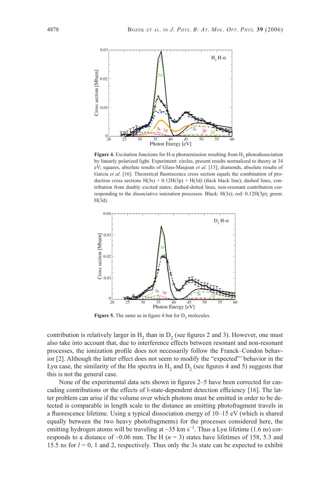

**Figure 4.** Excitation functions for H-α photoemission resulting from H<sub>2</sub> photodissociation by linearly polarized light. Experiment: circles, present results normalized to theory at 34 eV; squares, absolute results of Glass-Maujean *et al.* [15]; diamonds, absolute results of Garcia et al. [16]. Theoretical fluorescence cross section equals the combination of production cross sections  $H(3s) + 0.12H(3p) + H(3d)$  (thick black line); dashed lines, contribution from doubly excited states; dashed-dotted lines, non-resonant contribution corresponding to the dissociative ionization processes. Black: H(3s); red: 0.12H(3p); green: H(3d).



**Figure 5.** The same as in figure 4 but for  $D_2$  molecules.

contribution is relatively larger in H<sub>2</sub> than in D<sub>2</sub> (see figures 2 and 3). However, one must also take into account that, due to interference effects between resonant and non-resonant processes, the ionization profile does not necessarily follow the Franck–Condon behavior [2]. Although the latter effect does not seem to modify the "expected"' behavior in the Lyα case, the similarity of the Hα spectra in H<sub>2</sub> and D<sub>2</sub> (see figures 4 and 5) suggests that this is not the general case.

None of the experimental data sets shown in figures  $2-5$  have been corrected for cascading contributions or the effects of l-state-dependent detection efficiency  $[16]$ . The latter problem can arise if the volume over which photons must be emitted in order to be detected is comparable in length scale to the distance an emitting photofragment travels in a fluorescence lifetime. Using a typical dissociation energy of  $10-15$  eV (which is shared equally between the two heavy photofragments) for the processes considered here, the emitting hydrogen atoms will be traveling at ~35 km s<sup>-1</sup>. Thus a Lya lifetime (1.6 ns) corresponds to a distance of  $\sim 0.06$  mm. The H ( $n = 3$ ) states have lifetimes of 158, 5.3 and 15.5 ns for  $l = 0$ , 1 and 2, respectively. Thus only the 3s state can be expected to exhibit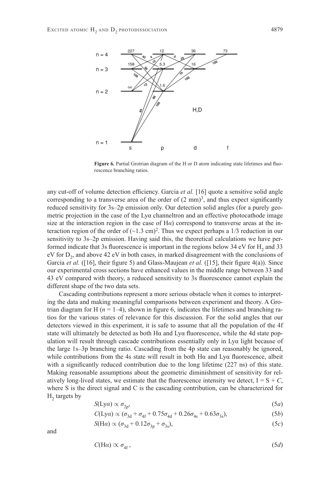

Figure 6. Partial Grotrian diagram of the H or D atom indicating state lifetimes and fluorescence branching ratios.

any cut-off of volume detection efficiency. Garcia *et al.* [16] quote a sensitive solid angle corresponding to a transverse area of the order of  $(2 \text{ mm})^3$ , and thus expect significantly reduced sensitivity for 3s–2p emission only. Our detection solid angles (for a purely geometric projection in the case of the Lyα channeltron and an effective photocathode image size at the interaction region in the case of H*α*) correspond to transverse areas at the interaction region of the order of  $(\sim 1.3 \text{ cm})^2$ . Thus we expect perhaps a 1/3 reduction in our sensitivity to 3s–2p emission. Having said this, the theoretical calculations we have performed indicate that 3s fluorescence is important in the regions below 34 eV for  $H<sub>2</sub>$  and 33 eV for  $D_2$ , and above 42 eV in both cases, in marked disagreement with the conclusions of Garcia *et al.* ([16], their figure 5) and Glass-Maujean *et al.* ([15], their figure 4(a)). Since our experimental cross sections have enhanced values in the middle range between 33 and 43 eV compared with theory, a reduced sensitivity to 3s fluorescence cannot explain the different shape of the two data sets.

Cascading contributions represent a more serious obstacle when it comes to interpreting the data and making meaningful comparisons between experiment and theory. A Grotrian diagram for H  $(n = 1-4)$ , shown in figure 6, indicates the lifetimes and branching ratios for the various states of relevance for this discussion. For the solid angles that our detectors viewed in this experiment, it is safe to assume that all the population of the 4f state will ultimately be detected as both  $H\alpha$  and  $Ly\alpha$  fluorescence, while the 4d state population will result through cascade contributions essentially only in Lyα light because of the large 1s–3p branching ratio. Cascading from the 4p state can reasonably be ignored, while contributions from the 4s state will result in both  $H\alpha$  and  $Ly\alpha$  fluorescence, albeit with a significantly reduced contribution due to the long lifetime  $(227 \text{ ns})$  of this state. Making reasonable assumptions about the geometric diminishment of sensitivity for relatively long-lived states, we estimate that the fluorescence intensity we detect,  $I = S + C$ , where S is the direct signal and C is the cascading contribution, can be characterized for  $H<sub>2</sub>$  targets by

$$
S(\text{Ly}\alpha) \propto \sigma_{2p},\tag{5a}
$$

$$
C({\rm Ly}\alpha) \propto (\sigma_{3d} + \sigma_{4f} + 0.75\sigma_{4d} + 0.26\sigma_{4s} + 0.63\sigma_{3s}), \tag{5b}
$$

$$
S(\text{H}\alpha) \propto (\sigma_{3d} + 0.12\sigma_{3p} + \sigma_{3s}),\tag{5c}
$$

and

$$
C(\text{H}\alpha) \propto \sigma_{4f},\tag{5d}
$$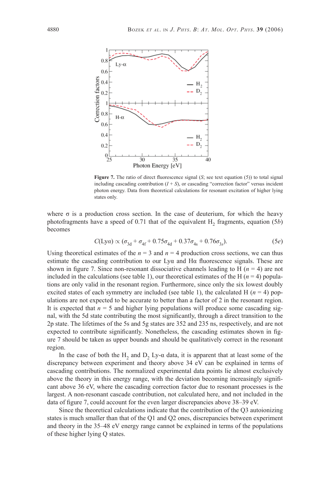

**Figure 7.** The ratio of direct fluorescence signal (*S*; see text equation (5)) to total signal including cascading contribution  $(I + S)$ , or cascading "correction factor" versus incident photon energy. Data from theoretical calculations for resonant excitation of higher lying states only.

where  $\sigma$  is a production cross section. In the case of deuterium, for which the heavy photofragments have a speed of 0.71 that of the equivalent  $H_2$  fragments, equation (5*b*) becomes

$$
C(\text{Ly}\alpha) \propto (\sigma_{3d} + \sigma_{4f} + 0.75\sigma_{4d} + 0.37\sigma_{4s} + 0.76\sigma_{3s}).
$$
 (5e)

Using theoretical estimates of the  $n = 3$  and  $n = 4$  production cross sections, we can thus estimate the cascading contribution to our  $Ly\alpha$  and  $H\alpha$  fluorescence signals. These are shown in figure 7. Since non-resonant dissociative channels leading to H  $(n = 4)$  are not included in the calculations (see table 1), our theoretical estimates of the H  $(n = 4)$  populations are only valid in the resonant region. Furthermore, since only the six lowest doubly excited states of each symmetry are included (see table 1), the calculated H  $(n = 4)$  populations are not expected to be accurate to better than a factor of 2 in the resonant region. It is expected that  $n = 5$  and higher lying populations will produce some cascading signal, with the 5d state contributing the most significantly, through a direct transition to the 2p state. The lifetimes of the 5s and 5g states are 352 and 235 ns, respectively, and are not expected to contribute significantly. Nonetheless, the cascading estimates shown in figure 7 should be taken as upper bounds and should be qualitatively correct in the resonant region.

In the case of both the H<sub>2</sub> and D<sub>2</sub> Ly- $\alpha$  data, it is apparent that at least some of the discrepancy between experiment and theory above 34 eV can be explained in terms of cascading contributions. The normalized experimental data points lie almost exclusively above the theory in this energy range, with the deviation becoming increasingly significant above 36 eV, where the cascading correction factor due to resonant processes is the largest. A non-resonant cascade contribution, not calculated here, and not included in the data of figure 7, could account for the even larger discrepancies above 38–39 eV.

Since the theoretical calculations indicate that the contribution of the Q3 autoionizing states is much smaller than that of the Q1 and Q2 ones, discrepancies between experiment and theory in the 35–48 eV energy range cannot be explained in terms of the populations of these higher lying Q states.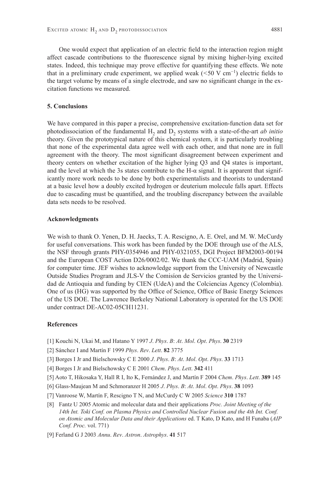One would expect that application of an electric field to the interaction region might affect cascade contributions to the fluorescence signal by mixing higher-lying excited states. Indeed, this technique may prove effective for quantifying these effects. We note that in a preliminary crude experiment, we applied weak (<50 V cm<sup>-1</sup>) electric fields to the target volume by means of a single electrode, and saw no significant change in the excitation functions we measured.

#### **5. Conclusions**

We have compared in this paper a precise, comprehensive excitation-function data set for photodissociation of the fundamental H<sub>2</sub> and D<sub>2</sub> systems with a state-of-the-art *ab initio* theory. Given the prototypical nature of this chemical system, it is particularly troubling that none of the experimental data agree well with each other, and that none are in full agreement with the theory. The most significant disagreement between experiment and theory centers on whether excitation of the higher lying Q3 and Q4 states is important, and the level at which the 3s states contribute to the H- $\alpha$  signal. It is apparent that significantly more work needs to be done by both experimentalists and theorists to understand at a basic level how a doubly excited hydrogen or deuterium molecule falls apart. Effects due to cascading must be quantified, and the troubling discrepancy between the available data sets needs to be resolved.

#### **Acknowledgments**

We wish to thank O. Yenen, D. H. Jaecks, T. A. Rescigno, A. E. Orel, and M. W. McCurdy for useful conversations. This work has been funded by the DOE through use of the ALS, the NSF through grants PHY-0354946 and PHY-0321055, DGI Project BFM2003-00194 and the European COST Action D26*/*0002*/*02. We thank the CCC-UAM (Madrid, Spain) for computer time. JEF wishes to acknowledge support from the University of Newcastle Outside Studies Program and JLS-V the Comisíon de Servicios granted by the Universidad de Antioquia and funding by CIEN (UdeA) and the Colciencias Agency (Colombia). One of us (HG) was supported by the Office of Science, Office of Basic Energy Sciences of the US DOE. The Lawrence Berkeley National Laboratory is operated for the US DOE under contract DE-AC02-05CH11231.

#### **References**

- [1] Kouchi N, Ukai M, and Hatano Y 1997 *J*. *Phys*. *B*: *At*. *Mol*. *Opt*. *Phys*. **30** 2319
- [2] Sánchez I and Martín F 1999 *Phys*. *Rev*. *Lett*. **82** 3775
- [3] Borges I Jr and Bielschowsky C E 2000 *J*. *Phys*. *B*: *At*. *Mol*. *Opt*. *Phys*. **33** 1713
- [4] Borges I Jr and Bielschowsky C E 2001 *Chem*. *Phys*. *Lett*. **342** 411
- [5] Aoto T, Hikosaka Y, Hall R I, Ito K, Fernández J, and Martín F 2004 *Chem*. *Phys*. *Lett*. **389** 145
- [6] Glass-Maujean M and Schmoranzer H 2005 *J*. *Phys*. *B*: *At*. *Mol*. *Opt*. *Phys*. **38** 1093
- [7] Vanroose W, Martín F, Rescigno T N, and McCurdy C W 2005 *Science* **310** 1787
- [8] Fantz U 2005 Atomic and molecular data and their applications *Proc. Joint Meeting of the 14th Int. Toki Conf. on Plasma Physics and Controlled Nuclear Fusion and the 4th Int. Conf. on Atomic and Molecular Data and their Applications* ed. T Kato, D Kato, and H Funaba (*AIP Conf. Proc.* vol. 771)
- [9] Ferland G J 2003 *Annu*. *Rev*. *Astron*. *Astrophys*. **41** 517